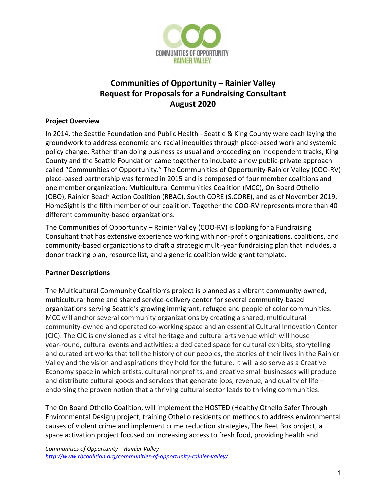

# **Communities of Opportunity – Rainier Valley Request for Proposals for a Fundraising Consultant August 2020**

#### **Project Overview**

In 2014, the Seattle Foundation and Public Health - Seattle & King County were each laying the groundwork to address economic and racial inequities through place-based work and systemic policy change. Rather than doing business as usual and proceeding on independent tracks, King County and the Seattle Foundation came together to incubate a new public-private approach called "Communities of Opportunity." The Communities of Opportunity-Rainier Valley (COO-RV) place-based partnership was formed in 2015 and is composed of four member coalitions and one member organization: Multicultural Communities Coalition (MCC), On Board Othello (OBO), Rainier Beach Action Coalition (RBAC), South CORE (S.CORE), and as of November 2019, HomeSight is the fifth member of our coalition. Together the COO-RV represents more than 40 different community-based organizations.

The Communities of Opportunity – Rainier Valley (COO-RV) is looking for a Fundraising Consultant that has extensive experience working with non-profit organizations, coalitions, and community-based organizations to draft a strategic multi-year fundraising plan that includes, a donor tracking plan, resource list, and a generic coalition wide grant template.

## **Partner Descriptions**

The Multicultural Community Coalition's project is planned as a vibrant community-owned, multicultural home and shared service-delivery center for several community-based organizations serving Seattle's growing immigrant, refugee and people of color communities. MCC will anchor several community organizations by creating a shared, multicultural community-owned and operated co-working space and an essential Cultural Innovation Center (CIC). The CIC is envisioned as a vital heritage and cultural arts venue which will house year-round, cultural events and activities; a dedicated space for cultural exhibits, storytelling and curated art works that tell the history of our peoples, the stories of their lives in the Rainier Valley and the vision and aspirations they hold for the future. It will also serve as a Creative Economy space in which artists, cultural nonprofits, and creative small businesses will produce and distribute cultural goods and services that generate jobs, revenue, and quality of life endorsing the proven notion that a thriving cultural sector leads to thriving communities.

The On Board Othello Coalition, will implement the HOSTED (Healthy Othello Safer Through Environmental Design) project, training Othello residents on methods to address environmental causes of violent crime and implement crime reduction strategies, The Beet Box project, a space activation project focused on increasing access to fresh food, providing health and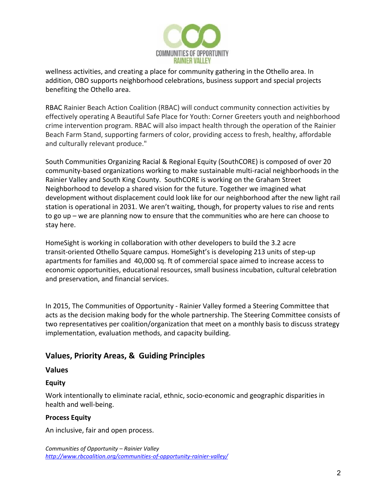

wellness activities, and creating a place for community gathering in the Othello area. In addition, OBO supports neighborhood celebrations, business support and special projects benefiting the Othello area.

RBAC Rainier Beach Action Coalition (RBAC) will conduct community connection activities by effectively operating A Beautiful Safe Place for Youth: Corner Greeters youth and neighborhood crime intervention program. RBAC will also impact health through the operation of the Rainier Beach Farm Stand, supporting farmers of color, providing access to fresh, healthy, affordable and culturally relevant produce."

South Communities Organizing Racial & Regional Equity (SouthCORE) is composed of over 20 community-based organizations working to make sustainable multi-racial neighborhoods in the Rainier Valley and South King County. SouthCORE is working on the Graham Street Neighborhood to develop a shared vision for the future. Together we imagined what development without displacement could look like for our neighborhood after the new light rail station is operational in 2031. We aren't waiting, though, for property values to rise and rents to go up – we are planning now to ensure that the communities who are here can choose to stay here.

HomeSight is working in collaboration with other developers to build the 3.2 acre transit-oriented Othello Square campus. HomeSight's is developing 213 units of step-up apartments for families and 40,000 sq. ft of commercial space aimed to increase access to economic opportunities, educational resources, small business incubation, cultural celebration and preservation, and financial services.

In 2015, The Communities of Opportunity - Rainier Valley formed a Steering Committee that acts as the decision making body for the whole partnership. The Steering Committee consists of two representatives per coalition/organization that meet on a monthly basis to discuss strategy implementation, evaluation methods, and capacity building.

## **Values, Priority Areas, & Guiding Principles**

## **Values**

## **Equity**

Work intentionally to eliminate racial, ethnic, socio-economic and geographic disparities in health and well-being.

## **Process Equity**

An inclusive, fair and open process.

```
Communities of Opportunity – Rainier Valley
http://www.rbcoalition.org/communities-of-opportunity-rainier-valley/
```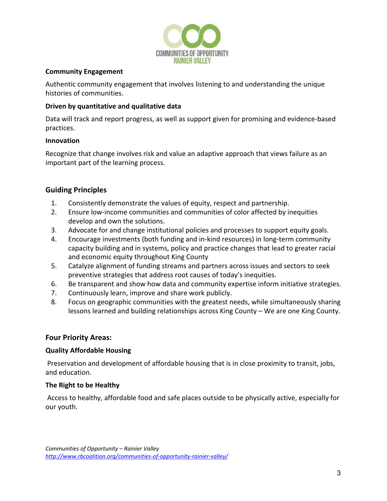

#### **Community Engagement**

Authentic community engagement that involves listening to and understanding the unique histories of communities.

### **Driven by quantitative and qualitative data**

Data will track and report progress, as well as support given for promising and evidence-based practices.

#### **Innovation**

Recognize that change involves risk and value an adaptive approach that views failure as an important part of the learning process.

## **Guiding Principles**

- 1. Consistently demonstrate the values of equity, respect and partnership.
- 2. Ensure low-income communities and communities of color affected by inequities develop and own the solutions.
- 3. Advocate for and change institutional policies and processes to support equity goals.
- 4. Encourage investments (both funding and in-kind resources) in long-term community capacity building and in systems, policy and practice changes that lead to greater racial and economic equity throughout King County
- 5. Catalyze alignment of funding streams and partners across issues and sectors to seek preventive strategies that address root causes of today's inequities.
- 6. Be transparent and show how data and community expertise inform initiative strategies.
- 7. Continuously learn, improve and share work publicly.
- 8. Focus on geographic communities with the greatest needs, while simultaneously sharing lessons learned and building relationships across King County – We are one King County.

## **Four Priority Areas:**

## **Quality Affordable Housing**

Preservation and development of affordable housing that is in close proximity to transit, jobs, and education.

## **The Right to be Healthy**

Access to healthy, affordable food and safe places outside to be physically active, especially for our youth.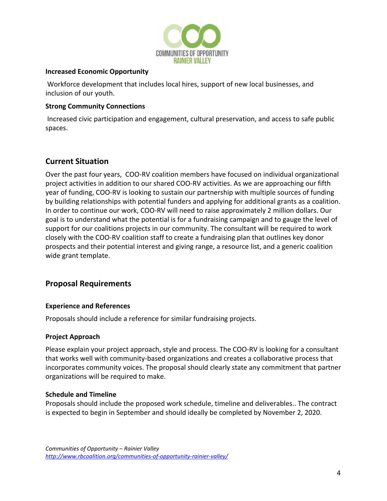

#### **Increased Economic Opportunity**

Workforce development that includes local hires, support of new local businesses, and inclusion of our youth.

### **Strong Community Connections**

Increased civic participation and engagement, cultural preservation, and access to safe public spaces.

## **Current Situation**

Over the past four years, COO-RV coalition members have focused on individual organizational project activities in addition to our shared COO-RV activities. As we are approaching our fifth year of funding, COO-RV is looking to sustain our partnership with multiple sources of funding by building relationships with potential funders and applying for additional grants as a coalition. In order to continue our work, COO-RV will need to raise approximately 2 million dollars. Our goal is to understand what the potential is for a fundraising campaign and to gauge the level of support for our coalitions projects in our community. The consultant will be required to work closely with the COO-RV coalition staff to create a fundraising plan that outlines key donor prospects and their potential interest and giving range, a resource list, and a generic coalition wide grant template.

## **Proposal Requirements**

#### **Experience and References**

Proposals should include a reference for similar fundraising projects.

#### **Project Approach**

Please explain your project approach, style and process. The COO-RV is looking for a consultant that works well with community-based organizations and creates a collaborative process that incorporates community voices. The proposal should clearly state any commitment that partner organizations will be required to make.

#### **Schedule and Timeline**

Proposals should include the proposed work schedule, timeline and deliverables.. The contract is expected to begin in September and should ideally be completed by November 2, 2020.